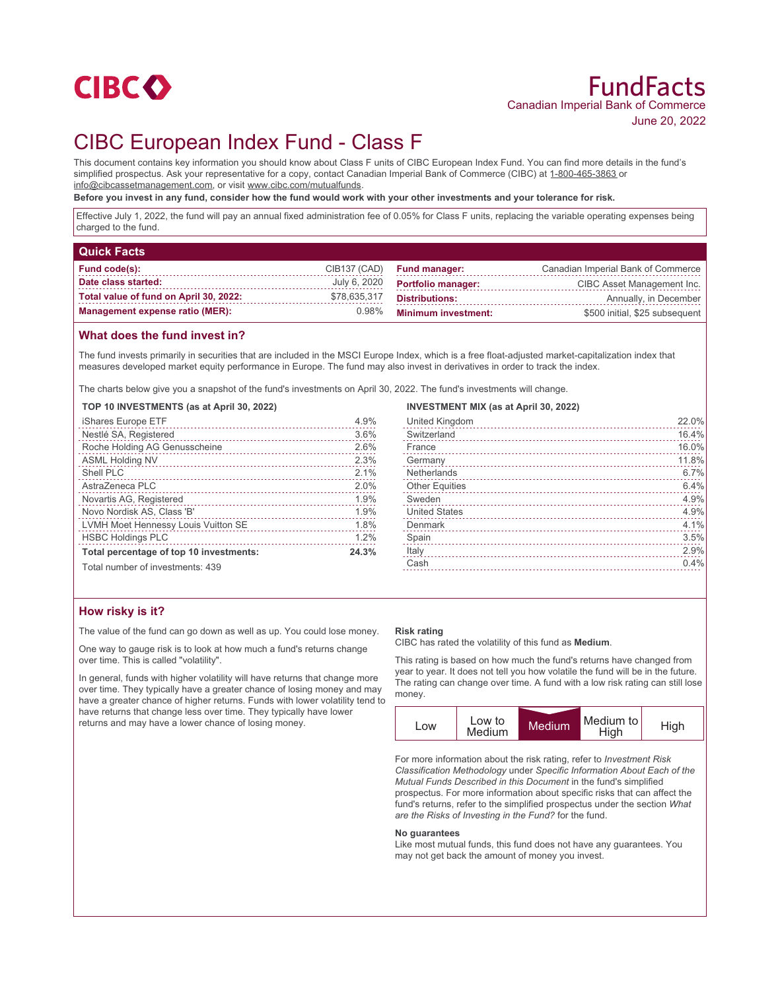

# CIBC European Index Fund - Class F

This document contains key information you should know about Class F units of CIBC European Index Fund. You can find more details in the fund's simplified prospectus. Ask your representative for a copy, contact Canadian Imperial Bank of Commerce (CIBC) at 1-800-465-3863 or info@cibcassetmanagement.com, or visit www.cibc.com/mutualfunds.

**Before you invest in any fund, consider how the fund would work with your other investments and your tolerance for risk.**

Effective July 1, 2022, the fund will pay an annual fixed administration fee of 0.05% for Class F units, replacing the variable operating expenses being charged to the fund.

| <b>Quick Facts</b>                     |              |                            |                                    |
|----------------------------------------|--------------|----------------------------|------------------------------------|
| Fund code(s):                          | CIB137 (CAD) | <b>Fund manager:</b>       | Canadian Imperial Bank of Commerce |
| Date class started:                    | July 6, 2020 | <b>Portfolio manager:</b>  | CIBC Asset Management Inc.         |
| Total value of fund on April 30, 2022: | \$78,635,317 | <b>Distributions:</b>      | Annually, in December              |
| <b>Management expense ratio (MER):</b> | 0.98%        | <b>Minimum investment:</b> | \$500 initial, \$25 subsequent     |

## **What does the fund invest in?**

The fund invests primarily in securities that are included in the MSCI Europe Index, which is a free float-adjusted market-capitalization index that measures developed market equity performance in Europe. The fund may also invest in derivatives in order to track the index.

The charts below give you a snapshot of the fund's investments on April 30, 2022. The fund's investments will change.

**TOP 10 INVESTMENTS (as at April 30, 2022)**

| iShares Europe ETF                      | 4.9%  |
|-----------------------------------------|-------|
| Nestlé SA, Registered                   | 3.6%  |
| Roche Holding AG Genusscheine           | 2.6%  |
| <b>ASML Holding NV</b>                  | 2.3%  |
| Shell PLC                               | 2.1%  |
| AstraZeneca PLC                         | 2.0%  |
| Novartis AG, Registered                 | 1.9%  |
| Novo Nordisk AS, Class 'B'              | 1.9%  |
| LVMH Moet Hennessy Louis Vuitton SE     | 1.8%  |
| <b>HSBC Holdings PLC</b>                | 1.2%  |
| Total percentage of top 10 investments: | 24.3% |
| Total number of investments: 439        |       |

#### **INVESTMENT MIX (as at April 30, 2022)**

| United Kingdom        | 22.0% |
|-----------------------|-------|
| Switzerland           | 16.4% |
| France                | 16.0% |
| Germany               | 11.8% |
| Netherlands           | 6.7%  |
| <b>Other Equities</b> | 6.4%  |
| Sweden                | 4.9%  |
| <b>United States</b>  | 4.9%  |
| Denmark               | 4.1%  |
| Spain                 | 3.5%  |
| Italy                 | 2.9%  |
| Cash                  | 0.4%  |
|                       |       |

## **How risky is it?**

The value of the fund can go down as well as up. You could lose money.

One way to gauge risk is to look at how much a fund's returns change over time. This is called "volatility".

In general, funds with higher volatility will have returns that change more over time. They typically have a greater chance of losing money and may have a greater chance of higher returns. Funds with lower volatility tend to have returns that change less over time. They typically have lower returns and may have a lower chance of losing money.

#### **Risk rating**

CIBC has rated the volatility of this fund as **Medium**.

This rating is based on how much the fund's returns have changed from year to year. It does not tell you how volatile the fund will be in the future. The rating can change over time. A fund with a low risk rating can still lose money.



For more information about the risk rating, refer to *Investment Risk Classification Methodology* under *Specific Information About Each of the Mutual Funds Described in this Document* in the fund's simplified prospectus. For more information about specific risks that can affect the fund's returns, refer to the simplified prospectus under the section *What are the Risks of Investing in the Fund?* for the fund.

#### **No guarantees**

Like most mutual funds, this fund does not have any guarantees. You may not get back the amount of money you invest.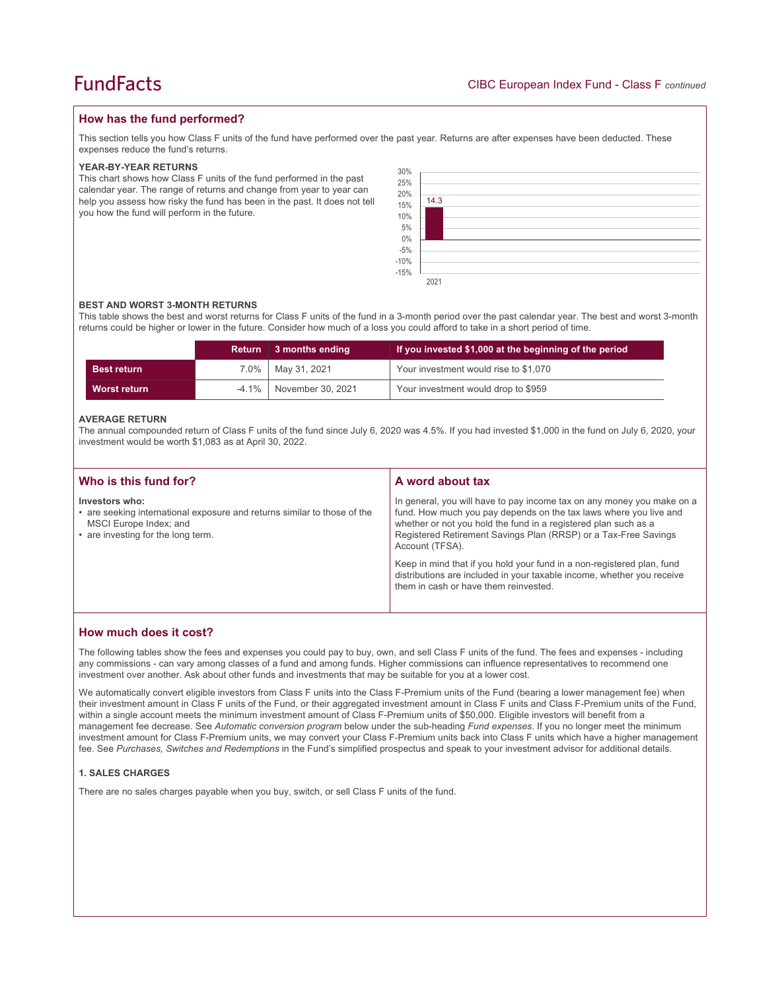## **How has the fund performed?**

This section tells you how Class F units of the fund have performed over the past year. Returns are after expenses have been deducted. These expenses reduce the fund's returns.

#### **YEAR-BY-YEAR RETURNS**

This chart shows how Class F units of the fund performed in the past calendar year. The range of returns and change from year to year can help you assess how risky the fund has been in the past. It does not tell you how the fund will perform in the future.

| 30%<br>25%<br>20%<br>15%<br>$10\%$<br>5%<br>5%<br>0%<br>-5%<br>-10%<br>-15% | 14.3 |  |  |  |  |
|-----------------------------------------------------------------------------|------|--|--|--|--|
|                                                                             | 2021 |  |  |  |  |

#### **BEST AND WORST 3-MONTH RETURNS**

This table shows the best and worst returns for Class F units of the fund in a 3-month period over the past calendar year. The best and worst 3-month returns could be higher or lower in the future. Consider how much of a loss you could afford to take in a short period of time.

|                    | <b>Return</b> | 3 months ending   | If you invested \$1,000 at the beginning of the period |
|--------------------|---------------|-------------------|--------------------------------------------------------|
| <b>Best return</b> | $7.0\%$       | May 31, 2021      | Your investment would rise to \$1,070                  |
| Worst return       | $-4.1\%$      | November 30, 2021 | Your investment would drop to \$959                    |

#### **AVERAGE RETURN**

The annual compounded return of Class F units of the fund since July 6, 2020 was 4.5%. If you had invested \$1,000 in the fund on July 6, 2020, your investment would be worth \$1,083 as at April 30, 2022.

| Who is this fund for?                                                                                                                                      | A word about tax                                                                                                                                                                                                                                                                                     |  |
|------------------------------------------------------------------------------------------------------------------------------------------------------------|------------------------------------------------------------------------------------------------------------------------------------------------------------------------------------------------------------------------------------------------------------------------------------------------------|--|
| Investors who:<br>• are seeking international exposure and returns similar to those of the<br>MSCI Europe Index; and<br>• are investing for the long term. | In general, you will have to pay income tax on any money you make on a<br>fund. How much you pay depends on the tax laws where you live and<br>whether or not you hold the fund in a registered plan such as a<br>Registered Retirement Savings Plan (RRSP) or a Tax-Free Savings<br>Account (TFSA). |  |
|                                                                                                                                                            | Keep in mind that if you hold your fund in a non-registered plan, fund<br>distributions are included in your taxable income, whether you receive<br>them in cash or have them reinvested.                                                                                                            |  |

### **How much does it cost?**

The following tables show the fees and expenses you could pay to buy, own, and sell Class F units of the fund. The fees and expenses - including any commissions - can vary among classes of a fund and among funds. Higher commissions can influence representatives to recommend one investment over another. Ask about other funds and investments that may be suitable for you at a lower cost.

We automatically convert eligible investors from Class F units into the Class F-Premium units of the Fund (bearing a lower management fee) when their investment amount in Class F units of the Fund, or their aggregated investment amount in Class F units and Class F-Premium units of the Fund, within a single account meets the minimum investment amount of Class F-Premium units of \$50,000. Eligible investors will benefit from a management fee decrease. See *Automatic conversion program* below under the sub-heading *Fund expenses*. If you no longer meet the minimum investment amount for Class F-Premium units, we may convert your Class F-Premium units back into Class F units which have a higher management fee. See *Purchases, Switches and Redemptions* in the Fund's simplified prospectus and speak to your investment advisor for additional details.

#### **1. SALES CHARGES**

There are no sales charges payable when you buy, switch, or sell Class F units of the fund.